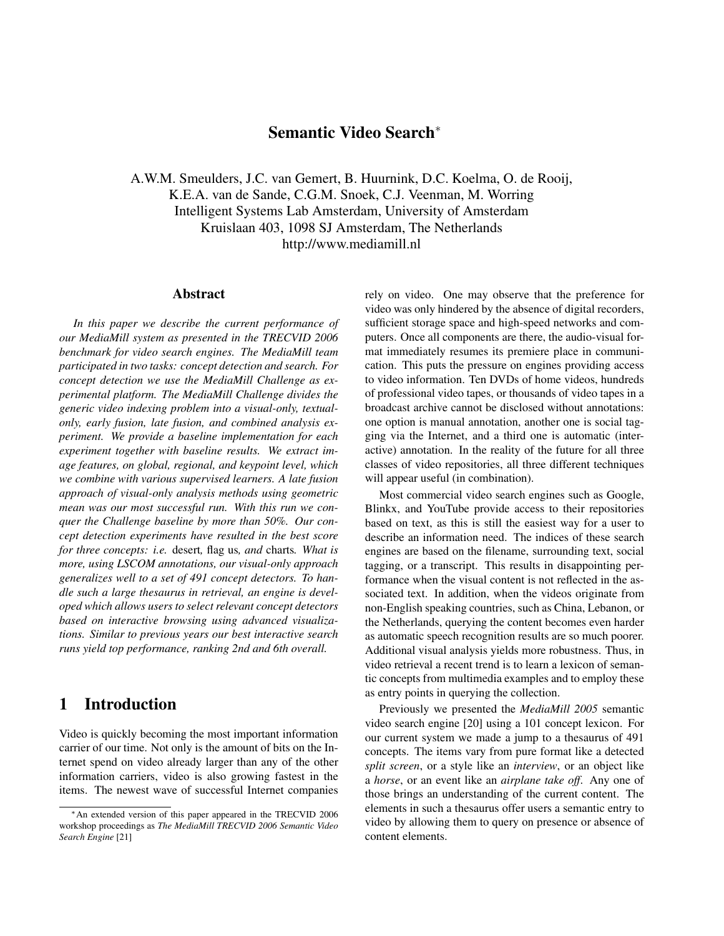## **Semantic Video Search**<sup>∗</sup>

A.W.M. Smeulders, J.C. van Gemert, B. Huurnink, D.C. Koelma, O. de Rooij, K.E.A. van de Sande, C.G.M. Snoek, C.J. Veenman, M. Worring Intelligent Systems Lab Amsterdam, University of Amsterdam Kruislaan 403, 1098 SJ Amsterdam, The Netherlands http://www.mediamill.nl

#### **Abstract**

*In this paper we describe the current performance of our MediaMill system as presented in the TRECVID 2006 benchmark for video search engines. The MediaMill team participated in two tasks: concept detection and search. For concept detection we use the MediaMill Challenge as experimental platform. The MediaMill Challenge divides the generic video indexing problem into a visual-only, textualonly, early fusion, late fusion, and combined analysis experiment. We provide a baseline implementation for each experiment together with baseline results. We extract image features, on global, regional, and keypoint level, which we combine with various supervised learners. A late fusion approach of visual-only analysis methods using geometric mean was our most successful run. With this run we conquer the Challenge baseline by more than 50%. Our concept detection experiments have resulted in the best score for three concepts: i.e.* desert*,* flag us*, and* charts*. What is more, using LSCOM annotations, our visual-only approach generalizes well to a set of 491 concept detectors. To handle such a large thesaurus in retrieval, an engine is developed which allows users to select relevant concept detectors based on interactive browsing using advanced visualizations. Similar to previous years our best interactive search runs yield top performance, ranking 2nd and 6th overall.*

## **1 Introduction**

Video is quickly becoming the most important information carrier of our time. Not only is the amount of bits on the Internet spend on video already larger than any of the other information carriers, video is also growing fastest in the items. The newest wave of successful Internet companies

rely on video. One may observe that the preference for video was only hindered by the absence of digital recorders, sufficient storage space and high-speed networks and computers. Once all components are there, the audio-visual format immediately resumes its premiere place in communication. This puts the pressure on engines providing access to video information. Ten DVDs of home videos, hundreds of professional video tapes, or thousands of video tapes in a broadcast archive cannot be disclosed without annotations: one option is manual annotation, another one is social tagging via the Internet, and a third one is automatic (interactive) annotation. In the reality of the future for all three classes of video repositories, all three different techniques will appear useful (in combination).

Most commercial video search engines such as Google, Blinkx, and YouTube provide access to their repositories based on text, as this is still the easiest way for a user to describe an information need. The indices of these search engines are based on the filename, surrounding text, social tagging, or a transcript. This results in disappointing performance when the visual content is not reflected in the associated text. In addition, when the videos originate from non-English speaking countries, such as China, Lebanon, or the Netherlands, querying the content becomes even harder as automatic speech recognition results are so much poorer. Additional visual analysis yields more robustness. Thus, in video retrieval a recent trend is to learn a lexicon of semantic concepts from multimedia examples and to employ these as entry points in querying the collection.

Previously we presented the *MediaMill 2005* semantic video search engine [20] using a 101 concept lexicon. For our current system we made a jump to a thesaurus of 491 concepts. The items vary from pure format like a detected *split screen*, or a style like an *interview*, or an object like a *horse*, or an event like an *airplane take off*. Any one of those brings an understanding of the current content. The elements in such a thesaurus offer users a semantic entry to video by allowing them to query on presence or absence of content elements.

<sup>∗</sup>An extended version of this paper appeared in the TRECVID 2006 workshop proceedings as *The MediaMill TRECVID 2006 Semantic Video Search Engine* [21]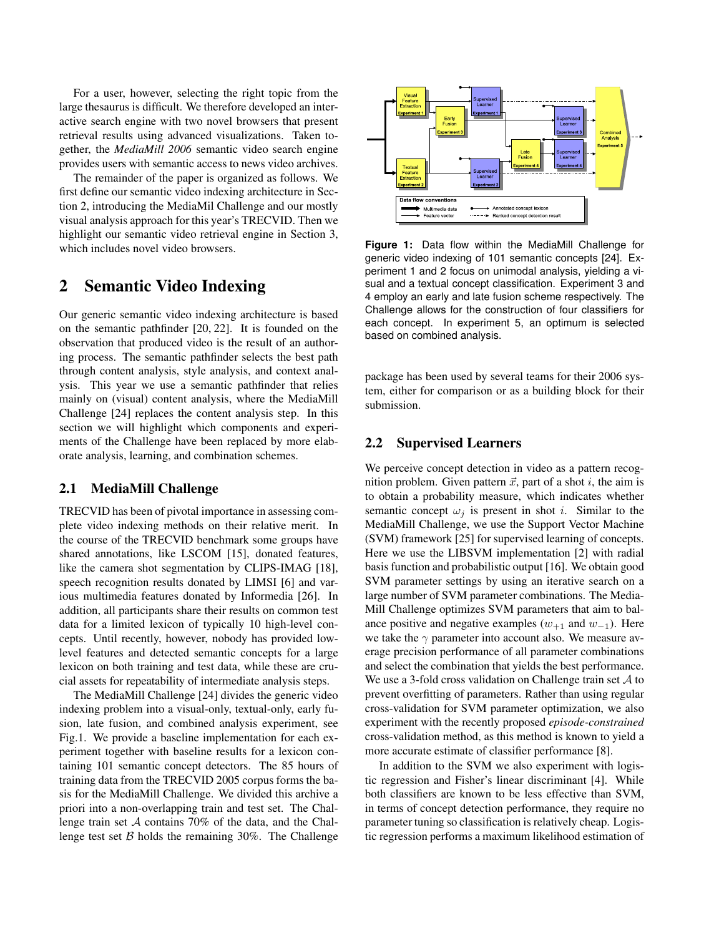For a user, however, selecting the right topic from the large thesaurus is difficult. We therefore developed an interactive search engine with two novel browsers that present retrieval results using advanced visualizations. Taken together, the *MediaMill 2006* semantic video search engine provides users with semantic access to news video archives.

The remainder of the paper is organized as follows. We first define our semantic video indexing architecture in Section 2, introducing the MediaMil Challenge and our mostly visual analysis approach for this year's TRECVID. Then we highlight our semantic video retrieval engine in Section 3, which includes novel video browsers.

# **2 Semantic Video Indexing**

Our generic semantic video indexing architecture is based on the semantic pathfinder [20, 22]. It is founded on the observation that produced video is the result of an authoring process. The semantic pathfinder selects the best path through content analysis, style analysis, and context analysis. This year we use a semantic pathfinder that relies mainly on (visual) content analysis, where the MediaMill Challenge [24] replaces the content analysis step. In this section we will highlight which components and experiments of the Challenge have been replaced by more elaborate analysis, learning, and combination schemes.

### **2.1 MediaMill Challenge**

TRECVID has been of pivotal importance in assessing complete video indexing methods on their relative merit. In the course of the TRECVID benchmark some groups have shared annotations, like LSCOM [15], donated features, like the camera shot segmentation by CLIPS-IMAG [18], speech recognition results donated by LIMSI [6] and various multimedia features donated by Informedia [26]. In addition, all participants share their results on common test data for a limited lexicon of typically 10 high-level concepts. Until recently, however, nobody has provided lowlevel features and detected semantic concepts for a large lexicon on both training and test data, while these are crucial assets for repeatability of intermediate analysis steps.

The MediaMill Challenge [24] divides the generic video indexing problem into a visual-only, textual-only, early fusion, late fusion, and combined analysis experiment, see Fig.1. We provide a baseline implementation for each experiment together with baseline results for a lexicon containing 101 semantic concept detectors. The 85 hours of training data from the TRECVID 2005 corpus forms the basis for the MediaMill Challenge. We divided this archive a priori into a non-overlapping train and test set. The Challenge train set A contains 70% of the data, and the Challenge test set  $\beta$  holds the remaining 30%. The Challenge



**Figure 1:** Data flow within the MediaMill Challenge for generic video indexing of 101 semantic concepts [24]. Experiment 1 and 2 focus on unimodal analysis, yielding a visual and a textual concept classification. Experiment 3 and 4 employ an early and late fusion scheme respectively. The Challenge allows for the construction of four classifiers for each concept. In experiment 5, an optimum is selected based on combined analysis.

package has been used by several teams for their 2006 system, either for comparison or as a building block for their submission.

### **2.2 Supervised Learners**

We perceive concept detection in video as a pattern recognition problem. Given pattern  $\vec{x}$ , part of a shot i, the aim is to obtain a probability measure, which indicates whether semantic concept  $\omega_i$  is present in shot *i*. Similar to the MediaMill Challenge, we use the Support Vector Machine (SVM) framework [25] for supervised learning of concepts. Here we use the LIBSVM implementation [2] with radial basis function and probabilistic output [16]. We obtain good SVM parameter settings by using an iterative search on a large number of SVM parameter combinations. The Media-Mill Challenge optimizes SVM parameters that aim to balance positive and negative examples  $(w_{+1}$  and  $w_{-1}$ ). Here we take the  $\gamma$  parameter into account also. We measure average precision performance of all parameter combinations and select the combination that yields the best performance. We use a 3-fold cross validation on Challenge train set  $A$  to prevent overfitting of parameters. Rather than using regular cross-validation for SVM parameter optimization, we also experiment with the recently proposed *episode-constrained* cross-validation method, as this method is known to yield a more accurate estimate of classifier performance [8].

In addition to the SVM we also experiment with logistic regression and Fisher's linear discriminant [4]. While both classifiers are known to be less effective than SVM, in terms of concept detection performance, they require no parameter tuning so classification is relatively cheap. Logistic regression performs a maximum likelihood estimation of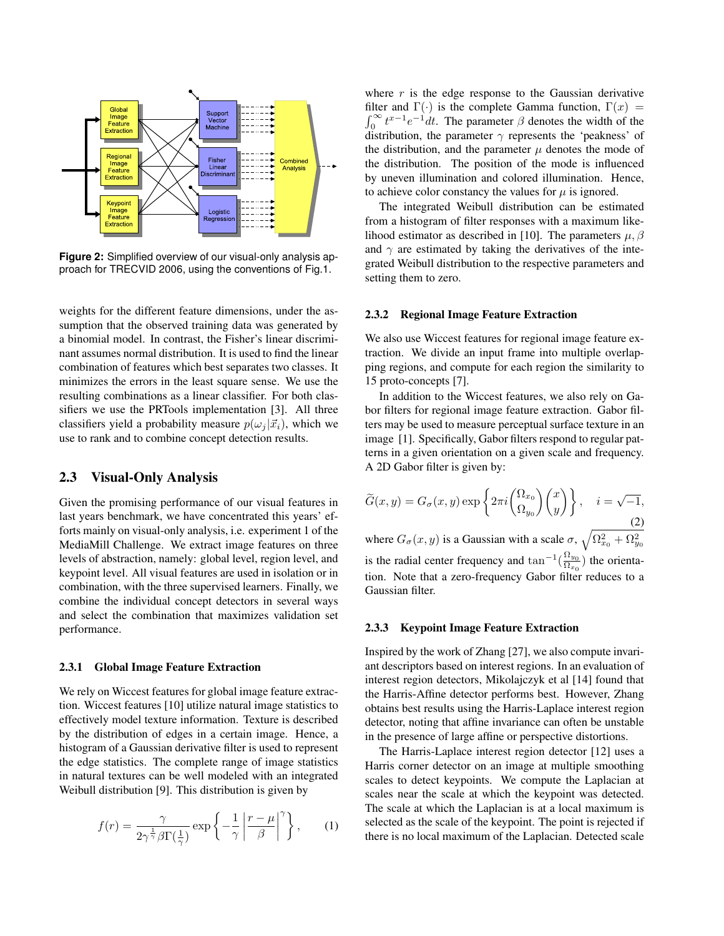

**Figure 2:** Simplified overview of our visual-only analysis approach for TRECVID 2006, using the conventions of Fig.1.

weights for the different feature dimensions, under the assumption that the observed training data was generated by a binomial model. In contrast, the Fisher's linear discriminant assumes normal distribution. It is used to find the linear combination of features which best separates two classes. It minimizes the errors in the least square sense. We use the resulting combinations as a linear classifier. For both classifiers we use the PRTools implementation [3]. All three classifiers yield a probability measure  $p(\omega_i | \vec{x_i})$ , which we use to rank and to combine concept detection results.

### **2.3 Visual-Only Analysis**

Given the promising performance of our visual features in last years benchmark, we have concentrated this years' efforts mainly on visual-only analysis, i.e. experiment 1 of the MediaMill Challenge. We extract image features on three levels of abstraction, namely: global level, region level, and keypoint level. All visual features are used in isolation or in combination, with the three supervised learners. Finally, we combine the individual concept detectors in several ways and select the combination that maximizes validation set performance.

#### **2.3.1 Global Image Feature Extraction**

We rely on Wiccest features for global image feature extraction. Wiccest features [10] utilize natural image statistics to effectively model texture information. Texture is described by the distribution of edges in a certain image. Hence, a histogram of a Gaussian derivative filter is used to represent the edge statistics. The complete range of image statistics in natural textures can be well modeled with an integrated Weibull distribution [9]. This distribution is given by

$$
f(r) = \frac{\gamma}{2\gamma^{\frac{1}{\gamma}}\beta\Gamma(\frac{1}{\gamma})} \exp\left\{-\frac{1}{\gamma}\left|\frac{r-\mu}{\beta}\right|^{\gamma}\right\},\qquad(1)
$$

where  $r$  is the edge response to the Gaussian derivative filter and  $\Gamma(\cdot)$  is the complete Gamma function,  $\Gamma(x)$  =  $\int_0^\infty t^{x-1} e^{-t} dt$ . The parameter  $\beta$  denotes the width of the distribution, the parameter  $\gamma$  represents the 'peakness' of the distribution, and the parameter  $\mu$  denotes the mode of the distribution. The position of the mode is influenced by uneven illumination and colored illumination. Hence, to achieve color constancy the values for  $\mu$  is ignored.

The integrated Weibull distribution can be estimated from a histogram of filter responses with a maximum likelihood estimator as described in [10]. The parameters  $\mu$ ,  $\beta$ and  $\gamma$  are estimated by taking the derivatives of the integrated Weibull distribution to the respective parameters and setting them to zero.

#### **2.3.2 Regional Image Feature Extraction**

We also use Wiccest features for regional image feature extraction. We divide an input frame into multiple overlapping regions, and compute for each region the similarity to 15 proto-concepts [7].

In addition to the Wiccest features, we also rely on Gabor filters for regional image feature extraction. Gabor filters may be used to measure perceptual surface texture in an image [1]. Specifically, Gabor filters respond to regular patterns in a given orientation on a given scale and frequency. A 2D Gabor filter is given by:

$$
\widetilde{G}(x,y) = G_{\sigma}(x,y) \exp\left\{2\pi i \begin{pmatrix} \Omega_{x_0} \\ \Omega_{y_0} \end{pmatrix} \begin{pmatrix} x \\ y \end{pmatrix} \right\}, \quad i = \sqrt{-1},
$$
\nwhere  $G_{\sigma}(x,y)$  is a Gaussian with a scale  $\sigma$ ,  $\sqrt{\Omega_{x_0}^2 + \Omega_{y_0}^2}$ 

is the radial center frequency and  $\tan^{-1}(\frac{\Omega_{y_0}}{\Omega_{y_0}})$  $\frac{\Delta E_{y_0}}{\Omega_{x_0}}$ ) the orientation. Note that a zero-frequency Gabor filter reduces to a Gaussian filter.

#### **2.3.3 Keypoint Image Feature Extraction**

Inspired by the work of Zhang [27], we also compute invariant descriptors based on interest regions. In an evaluation of interest region detectors, Mikolajczyk et al [14] found that the Harris-Affine detector performs best. However, Zhang obtains best results using the Harris-Laplace interest region detector, noting that affine invariance can often be unstable in the presence of large affine or perspective distortions.

The Harris-Laplace interest region detector [12] uses a Harris corner detector on an image at multiple smoothing scales to detect keypoints. We compute the Laplacian at scales near the scale at which the keypoint was detected. The scale at which the Laplacian is at a local maximum is selected as the scale of the keypoint. The point is rejected if there is no local maximum of the Laplacian. Detected scale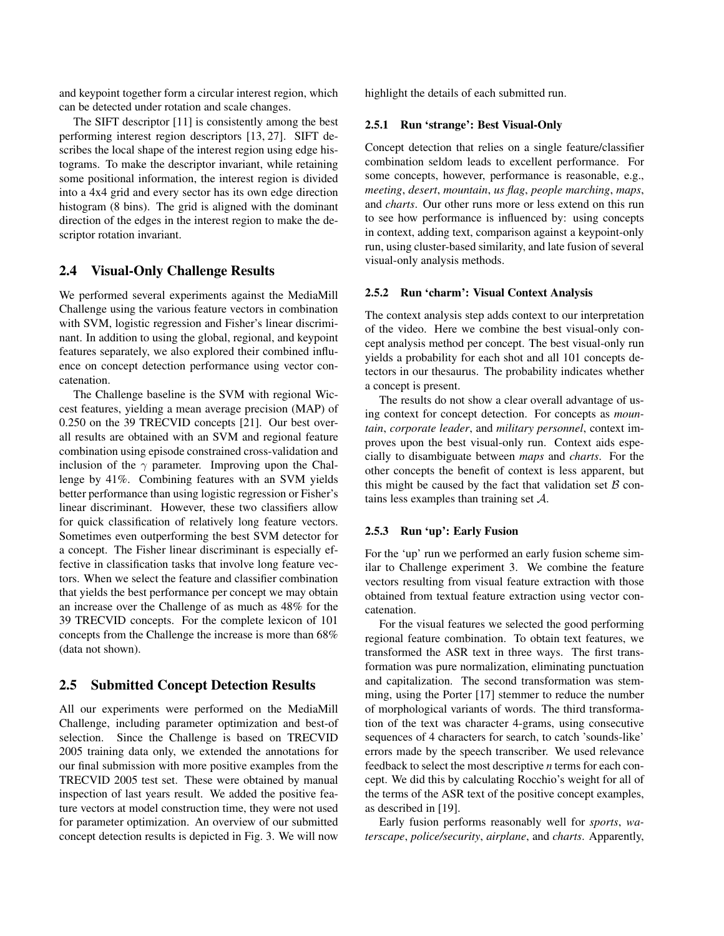and keypoint together form a circular interest region, which can be detected under rotation and scale changes.

The SIFT descriptor [11] is consistently among the best performing interest region descriptors [13, 27]. SIFT describes the local shape of the interest region using edge histograms. To make the descriptor invariant, while retaining some positional information, the interest region is divided into a 4x4 grid and every sector has its own edge direction histogram (8 bins). The grid is aligned with the dominant direction of the edges in the interest region to make the descriptor rotation invariant.

### **2.4 Visual-Only Challenge Results**

We performed several experiments against the MediaMill Challenge using the various feature vectors in combination with SVM, logistic regression and Fisher's linear discriminant. In addition to using the global, regional, and keypoint features separately, we also explored their combined influence on concept detection performance using vector concatenation.

The Challenge baseline is the SVM with regional Wiccest features, yielding a mean average precision (MAP) of 0.250 on the 39 TRECVID concepts [21]. Our best overall results are obtained with an SVM and regional feature combination using episode constrained cross-validation and inclusion of the  $\gamma$  parameter. Improving upon the Challenge by 41%. Combining features with an SVM yields better performance than using logistic regression or Fisher's linear discriminant. However, these two classifiers allow for quick classification of relatively long feature vectors. Sometimes even outperforming the best SVM detector for a concept. The Fisher linear discriminant is especially effective in classification tasks that involve long feature vectors. When we select the feature and classifier combination that yields the best performance per concept we may obtain an increase over the Challenge of as much as 48% for the 39 TRECVID concepts. For the complete lexicon of 101 concepts from the Challenge the increase is more than 68% (data not shown).

## **2.5 Submitted Concept Detection Results**

All our experiments were performed on the MediaMill Challenge, including parameter optimization and best-of selection. Since the Challenge is based on TRECVID 2005 training data only, we extended the annotations for our final submission with more positive examples from the TRECVID 2005 test set. These were obtained by manual inspection of last years result. We added the positive feature vectors at model construction time, they were not used for parameter optimization. An overview of our submitted concept detection results is depicted in Fig. 3. We will now

highlight the details of each submitted run.

#### **2.5.1 Run 'strange': Best Visual-Only**

Concept detection that relies on a single feature/classifier combination seldom leads to excellent performance. For some concepts, however, performance is reasonable, e.g., *meeting*, *desert*, *mountain*, *us flag*, *people marching*, *maps*, and *charts*. Our other runs more or less extend on this run to see how performance is influenced by: using concepts in context, adding text, comparison against a keypoint-only run, using cluster-based similarity, and late fusion of several visual-only analysis methods.

#### **2.5.2 Run 'charm': Visual Context Analysis**

The context analysis step adds context to our interpretation of the video. Here we combine the best visual-only concept analysis method per concept. The best visual-only run yields a probability for each shot and all 101 concepts detectors in our thesaurus. The probability indicates whether a concept is present.

The results do not show a clear overall advantage of using context for concept detection. For concepts as *mountain*, *corporate leader*, and *military personnel*, context improves upon the best visual-only run. Context aids especially to disambiguate between *maps* and *charts*. For the other concepts the benefit of context is less apparent, but this might be caused by the fact that validation set  $\beta$  contains less examples than training set A.

#### **2.5.3 Run 'up': Early Fusion**

For the 'up' run we performed an early fusion scheme similar to Challenge experiment 3. We combine the feature vectors resulting from visual feature extraction with those obtained from textual feature extraction using vector concatenation.

For the visual features we selected the good performing regional feature combination. To obtain text features, we transformed the ASR text in three ways. The first transformation was pure normalization, eliminating punctuation and capitalization. The second transformation was stemming, using the Porter [17] stemmer to reduce the number of morphological variants of words. The third transformation of the text was character 4-grams, using consecutive sequences of 4 characters for search, to catch 'sounds-like' errors made by the speech transcriber. We used relevance feedback to select the most descriptive *n* terms for each concept. We did this by calculating Rocchio's weight for all of the terms of the ASR text of the positive concept examples, as described in [19].

Early fusion performs reasonably well for *sports*, *waterscape*, *police/security*, *airplane*, and *charts*. Apparently,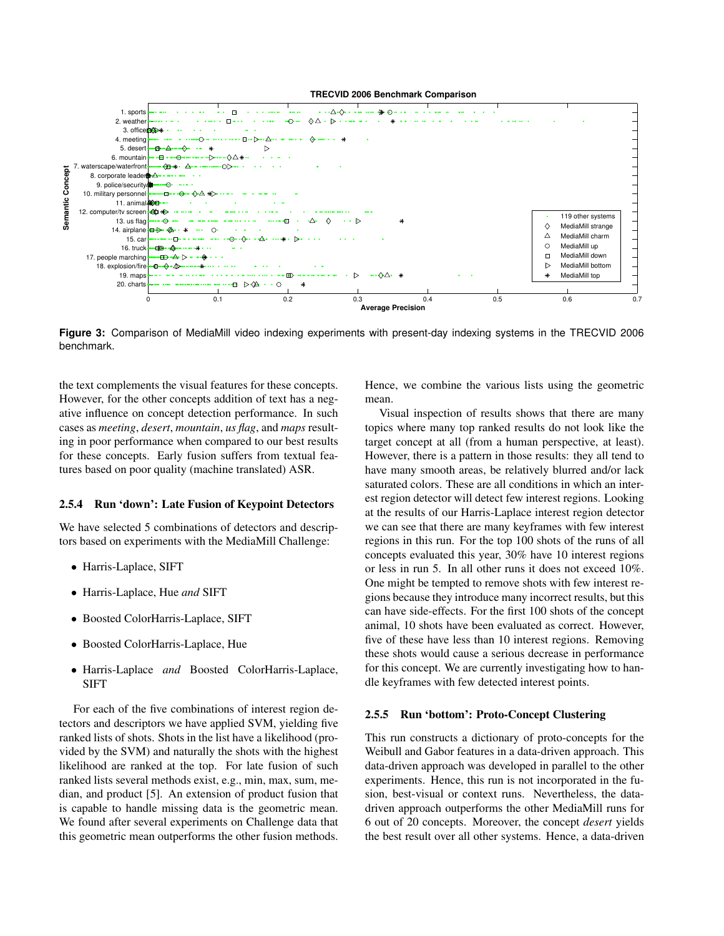



**Figure 3:** Comparison of MediaMill video indexing experiments with present-day indexing systems in the TRECVID 2006 benchmark.

the text complements the visual features for these concepts. However, for the other concepts addition of text has a negative influence on concept detection performance. In such cases as *meeting*, *desert*, *mountain*, *us flag*, and *maps* resulting in poor performance when compared to our best results for these concepts. Early fusion suffers from textual features based on poor quality (machine translated) ASR.

#### **2.5.4 Run 'down': Late Fusion of Keypoint Detectors**

We have selected 5 combinations of detectors and descriptors based on experiments with the MediaMill Challenge:

- Harris-Laplace, SIFT
- Harris-Laplace, Hue *and* SIFT
- Boosted ColorHarris-Laplace, SIFT
- Boosted ColorHarris-Laplace, Hue
- Harris-Laplace *and* Boosted ColorHarris-Laplace, SIFT

For each of the five combinations of interest region detectors and descriptors we have applied SVM, yielding five ranked lists of shots. Shots in the list have a likelihood (provided by the SVM) and naturally the shots with the highest likelihood are ranked at the top. For late fusion of such ranked lists several methods exist, e.g., min, max, sum, median, and product [5]. An extension of product fusion that is capable to handle missing data is the geometric mean. We found after several experiments on Challenge data that this geometric mean outperforms the other fusion methods.

Hence, we combine the various lists using the geometric mean.

Visual inspection of results shows that there are many topics where many top ranked results do not look like the target concept at all (from a human perspective, at least). However, there is a pattern in those results: they all tend to have many smooth areas, be relatively blurred and/or lack saturated colors. These are all conditions in which an interest region detector will detect few interest regions. Looking at the results of our Harris-Laplace interest region detector we can see that there are many keyframes with few interest regions in this run. For the top 100 shots of the runs of all concepts evaluated this year, 30% have 10 interest regions or less in run 5. In all other runs it does not exceed 10%. One might be tempted to remove shots with few interest regions because they introduce many incorrect results, but this can have side-effects. For the first 100 shots of the concept animal, 10 shots have been evaluated as correct. However, five of these have less than 10 interest regions. Removing these shots would cause a serious decrease in performance for this concept. We are currently investigating how to handle keyframes with few detected interest points.

#### **2.5.5 Run 'bottom': Proto-Concept Clustering**

This run constructs a dictionary of proto-concepts for the Weibull and Gabor features in a data-driven approach. This data-driven approach was developed in parallel to the other experiments. Hence, this run is not incorporated in the fusion, best-visual or context runs. Nevertheless, the datadriven approach outperforms the other MediaMill runs for 6 out of 20 concepts. Moreover, the concept *desert* yields the best result over all other systems. Hence, a data-driven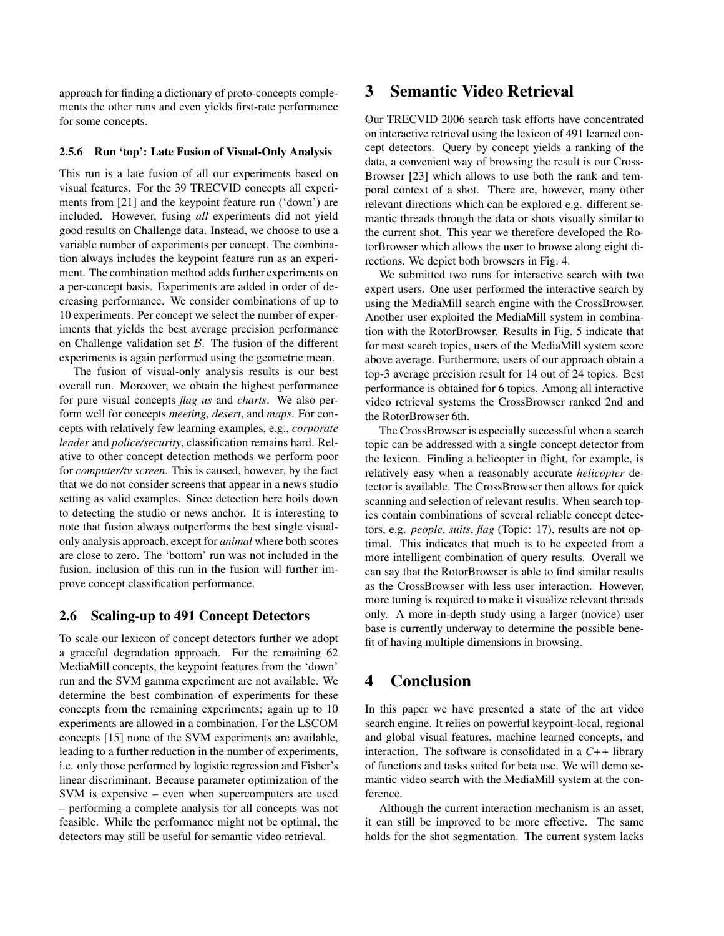approach for finding a dictionary of proto-concepts complements the other runs and even yields first-rate performance for some concepts.

#### **2.5.6 Run 'top': Late Fusion of Visual-Only Analysis**

This run is a late fusion of all our experiments based on visual features. For the 39 TRECVID concepts all experiments from [21] and the keypoint feature run ('down') are included. However, fusing *all* experiments did not yield good results on Challenge data. Instead, we choose to use a variable number of experiments per concept. The combination always includes the keypoint feature run as an experiment. The combination method adds further experiments on a per-concept basis. Experiments are added in order of decreasing performance. We consider combinations of up to 10 experiments. Per concept we select the number of experiments that yields the best average precision performance on Challenge validation set  $B$ . The fusion of the different experiments is again performed using the geometric mean.

The fusion of visual-only analysis results is our best overall run. Moreover, we obtain the highest performance for pure visual concepts *flag us* and *charts*. We also perform well for concepts *meeting*, *desert*, and *maps*. For concepts with relatively few learning examples, e.g., *corporate leader* and *police/security*, classification remains hard. Relative to other concept detection methods we perform poor for *computer/tv screen*. This is caused, however, by the fact that we do not consider screens that appear in a news studio setting as valid examples. Since detection here boils down to detecting the studio or news anchor. It is interesting to note that fusion always outperforms the best single visualonly analysis approach, except for *animal* where both scores are close to zero. The 'bottom' run was not included in the fusion, inclusion of this run in the fusion will further improve concept classification performance.

### **2.6 Scaling-up to 491 Concept Detectors**

To scale our lexicon of concept detectors further we adopt a graceful degradation approach. For the remaining 62 MediaMill concepts, the keypoint features from the 'down' run and the SVM gamma experiment are not available. We determine the best combination of experiments for these concepts from the remaining experiments; again up to 10 experiments are allowed in a combination. For the LSCOM concepts [15] none of the SVM experiments are available, leading to a further reduction in the number of experiments, i.e. only those performed by logistic regression and Fisher's linear discriminant. Because parameter optimization of the SVM is expensive – even when supercomputers are used – performing a complete analysis for all concepts was not feasible. While the performance might not be optimal, the detectors may still be useful for semantic video retrieval.

## **3 Semantic Video Retrieval**

Our TRECVID 2006 search task efforts have concentrated on interactive retrieval using the lexicon of 491 learned concept detectors. Query by concept yields a ranking of the data, a convenient way of browsing the result is our Cross-Browser [23] which allows to use both the rank and temporal context of a shot. There are, however, many other relevant directions which can be explored e.g. different semantic threads through the data or shots visually similar to the current shot. This year we therefore developed the RotorBrowser which allows the user to browse along eight directions. We depict both browsers in Fig. 4.

We submitted two runs for interactive search with two expert users. One user performed the interactive search by using the MediaMill search engine with the CrossBrowser. Another user exploited the MediaMill system in combination with the RotorBrowser. Results in Fig. 5 indicate that for most search topics, users of the MediaMill system score above average. Furthermore, users of our approach obtain a top-3 average precision result for 14 out of 24 topics. Best performance is obtained for 6 topics. Among all interactive video retrieval systems the CrossBrowser ranked 2nd and the RotorBrowser 6th.

The CrossBrowser is especially successful when a search topic can be addressed with a single concept detector from the lexicon. Finding a helicopter in flight, for example, is relatively easy when a reasonably accurate *helicopter* detector is available. The CrossBrowser then allows for quick scanning and selection of relevant results. When search topics contain combinations of several reliable concept detectors, e.g. *people*, *suits*, *flag* (Topic: 17), results are not optimal. This indicates that much is to be expected from a more intelligent combination of query results. Overall we can say that the RotorBrowser is able to find similar results as the CrossBrowser with less user interaction. However, more tuning is required to make it visualize relevant threads only. A more in-depth study using a larger (novice) user base is currently underway to determine the possible benefit of having multiple dimensions in browsing.

## **4 Conclusion**

In this paper we have presented a state of the art video search engine. It relies on powerful keypoint-local, regional and global visual features, machine learned concepts, and interaction. The software is consolidated in a *C++* library of functions and tasks suited for beta use. We will demo semantic video search with the MediaMill system at the conference.

Although the current interaction mechanism is an asset, it can still be improved to be more effective. The same holds for the shot segmentation. The current system lacks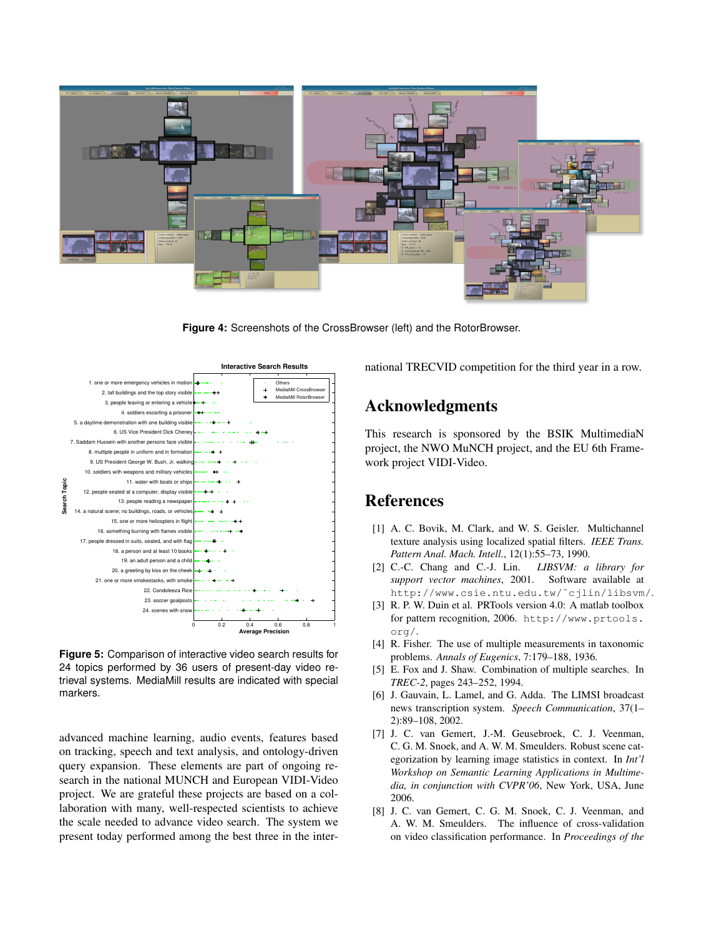

**Figure 4:** Screenshots of the CrossBrowser (left) and the RotorBrowser.



**Figure 5:** Comparison of interactive video search results for 24 topics performed by 36 users of present-day video retrieval systems. MediaMill results are indicated with special markers.

advanced machine learning, audio events, features based on tracking, speech and text analysis, and ontology-driven query expansion. These elements are part of ongoing research in the national MUNCH and European VIDI-Video project. We are grateful these projects are based on a collaboration with many, well-respected scientists to achieve the scale needed to advance video search. The system we present today performed among the best three in the international TRECVID competition for the third year in a row.

# **Acknowledgments**

This research is sponsored by the BSIK MultimediaN project, the NWO MuNCH project, and the EU 6th Framework project VIDI-Video.

## **References**

- [1] A. C. Bovik, M. Clark, and W. S. Geisler. Multichannel texture analysis using localized spatial filters. *IEEE Trans. Pattern Anal. Mach. Intell.*, 12(1):55–73, 1990.
- [2] C.-C. Chang and C.-J. Lin. *LIBSVM: a library for support vector machines*, 2001. Software available at http://www.csie.ntu.edu.tw/˜cjlin/libsvm/.
- [3] R. P. W. Duin et al. PRTools version 4.0: A matlab toolbox for pattern recognition, 2006. http://www.prtools. org/.
- [4] R. Fisher. The use of multiple measurements in taxonomic problems. *Annals of Eugenics*, 7:179–188, 1936.
- [5] E. Fox and J. Shaw. Combination of multiple searches. In *TREC-2*, pages 243–252, 1994.
- [6] J. Gauvain, L. Lamel, and G. Adda. The LIMSI broadcast news transcription system. *Speech Communication*, 37(1– 2):89–108, 2002.
- [7] J. C. van Gemert, J.-M. Geusebroek, C. J. Veenman, C. G. M. Snoek, and A. W. M. Smeulders. Robust scene categorization by learning image statistics in context. In *Int'l Workshop on Semantic Learning Applications in Multimedia, in conjunction with CVPR'06*, New York, USA, June 2006.
- [8] J. C. van Gemert, C. G. M. Snoek, C. J. Veenman, and A. W. M. Smeulders. The influence of cross-validation on video classification performance. In *Proceedings of the*